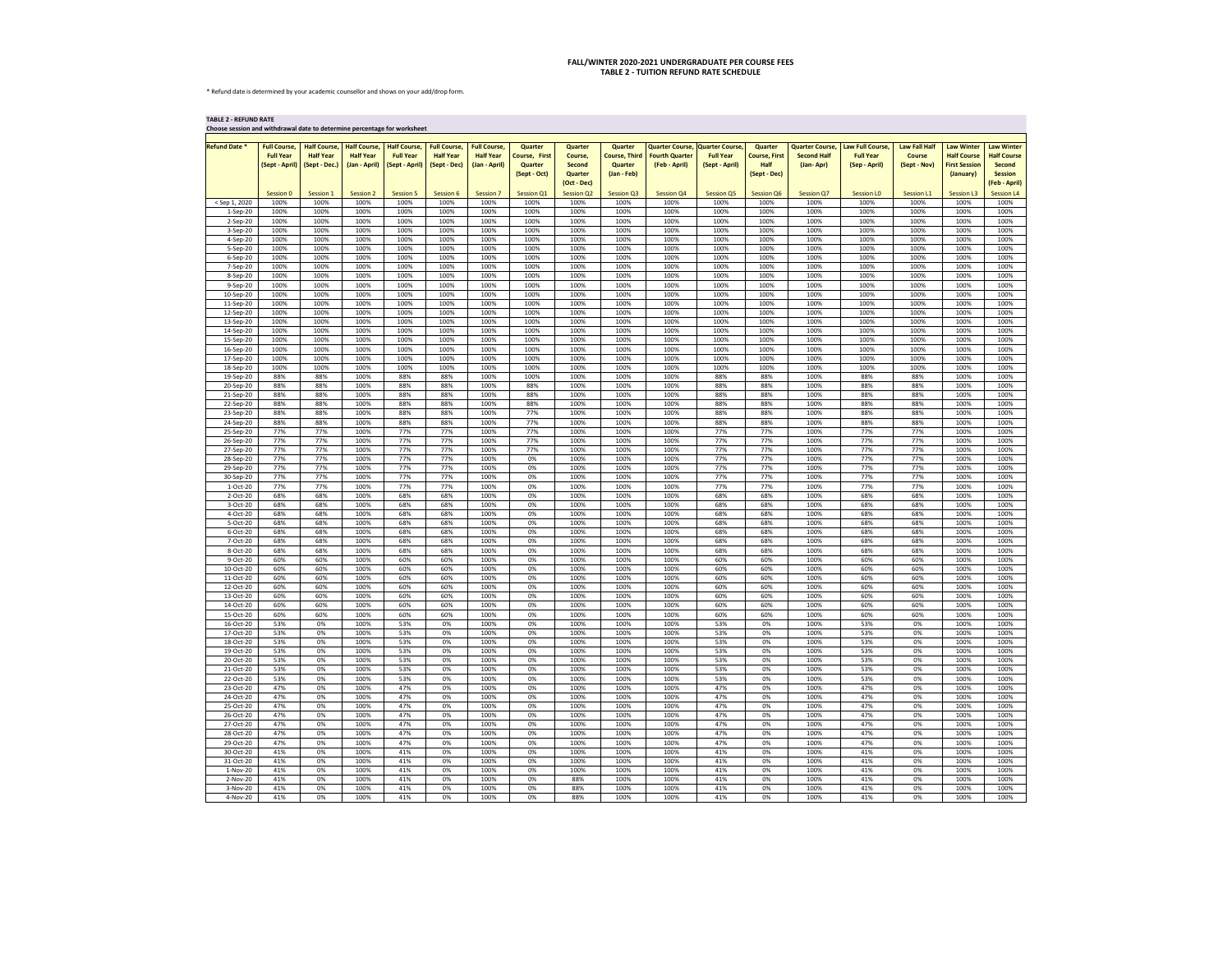\* Refund date is determined by your academic counsellor and shows on your add/drop form.

**TABLE 2 - REFUND RATE**

| Choose session and withdrawal date to determine percentage for worksheet |                                                           |                                                          |                                         |                                                                           |                                                         |                                                          |                                                                   |                                                                      |                                                                  |                                                                           |                                    |                                                                       |                                                           |                                                              |                                                       |                                                                              |                                                                                             |
|--------------------------------------------------------------------------|-----------------------------------------------------------|----------------------------------------------------------|-----------------------------------------|---------------------------------------------------------------------------|---------------------------------------------------------|----------------------------------------------------------|-------------------------------------------------------------------|----------------------------------------------------------------------|------------------------------------------------------------------|---------------------------------------------------------------------------|------------------------------------|-----------------------------------------------------------------------|-----------------------------------------------------------|--------------------------------------------------------------|-------------------------------------------------------|------------------------------------------------------------------------------|---------------------------------------------------------------------------------------------|
| <b>Refund Date *</b>                                                     | <b>Full Course,</b><br><b>Full Year</b><br>(Sept - April) | <b>Half Course,</b><br><b>Half Year</b><br>(Sept - Dec.) | <b>Half Course,</b><br><b>Half Year</b> | <b>Half Course,</b><br><b>Full Year</b><br>(Jan - April)   (Sept - April) | <b>Full Course,</b><br><b>Half Year</b><br>(Sept - Dec) | <b>Full Course,</b><br><b>Half Year</b><br>(Jan - April) | <b>Quarter</b><br><b>Course, First</b><br>Quarter<br>(Sept - Oct) | Quarter<br>Course,<br><b>Second</b><br><b>Quarter</b><br>(Oct - Dec) | <b>Quarter</b><br><b>Course, Third</b><br>Quarter<br>(Jan - Feb) | Quarter Course, Quarter Course,<br><b>Fourth Quarter</b><br>(Feb - April) | <b>Full Year</b><br>(Sept - April) | <b>Quarter</b><br><b>Course, First</b><br><b>Half</b><br>(Sept - Dec) | <b>Quarter Course,</b><br><b>Second Half</b><br>(Jan-Apr) | <b>Law Full Course,</b><br><b>Full Year</b><br>(Sep - April) | <b>Law Fall Half</b><br><b>Course</b><br>(Sept - Nov) | <b>Law Winter</b><br><b>Half Course</b><br><b>First Session</b><br>(January) | <b>Law Winter</b><br><b>Half Course</b><br><b>Second</b><br><b>Session</b><br>(Feb - April) |
| < Sep 1, 2020                                                            | Session 0<br>100%                                         | Session 1<br>100%                                        | <b>Session 2</b><br>100%                | <b>Session 5</b><br>100%                                                  | Session 6<br>100%                                       | Session 7<br>100%                                        | <b>Session Q1</b><br>100%                                         | <b>Session Q2</b><br>100%                                            | <b>Session Q3</b><br>100%                                        | <b>Session Q4</b><br>100%                                                 | <b>Session Q5</b><br>100%          | <b>Session Q6</b><br>100%                                             | <b>Session Q7</b><br>100%                                 | <b>Session LO</b><br>100%                                    | <b>Session L1</b><br>100%                             | <b>Session L3</b><br>100%                                                    | <b>Session L4</b><br>100%                                                                   |
| 1-Sep-20                                                                 | 100%                                                      | 100%                                                     | 100%                                    | 100%                                                                      | 100%                                                    | 100%                                                     | 100%                                                              | 100%                                                                 | 100%                                                             | 100%                                                                      | 100%                               | 100%                                                                  | 100%                                                      | 100%                                                         | 100%                                                  | 100%                                                                         | 100%                                                                                        |
| 2-Sep-20                                                                 | 100%                                                      | 100%                                                     | 100%                                    | 100%                                                                      | 100%                                                    | 100%                                                     | 100%                                                              | 100%                                                                 | 100%                                                             | 100%                                                                      | 100%                               | 100%                                                                  | 100%                                                      | 100%                                                         | 100%                                                  | 100%                                                                         | 100%                                                                                        |
| 3-Sep-20                                                                 | 100%                                                      | 100%                                                     | 100%                                    | 100%                                                                      | 100%                                                    | 100%                                                     | 100%                                                              | 100%                                                                 | 100%                                                             | 100%                                                                      | 100%                               | 100%                                                                  | 100%                                                      | 100%                                                         | 100%                                                  | 100%                                                                         | 100%                                                                                        |
| 4-Sep-20                                                                 | 100%                                                      | 100%                                                     | 100%                                    | 100%                                                                      | 100%                                                    | 100%                                                     | 100%                                                              | 100%                                                                 | 100%                                                             | 100%                                                                      | 100%                               | 100%                                                                  | 100%                                                      | 100%                                                         | 100%                                                  | 100%                                                                         | 100%                                                                                        |
| 5-Sep-20                                                                 | 100%<br>100%                                              | 100%<br>100%                                             | 100%<br>100%                            | 100%<br>100%                                                              | 100%<br>100%                                            | 100%<br>100%                                             | 100%<br>100%                                                      | 100%<br>100%                                                         | 100%<br>100%                                                     | 100%<br>100%                                                              | 100%<br>100%                       | 100%<br>100%                                                          | 100%<br>100%                                              | 100%<br>100%                                                 | 100%<br>100%                                          | 100%<br>100%                                                                 | 100%<br>100%                                                                                |
| $6-$ Sep $-20$<br>7-Sep-20                                               | 100%                                                      | 100%                                                     | 100%                                    | 100%                                                                      | 100%                                                    | 100%                                                     | 100%                                                              | 100%                                                                 | 100%                                                             | 100%                                                                      | 100%                               | 100%                                                                  | 100%                                                      | 100%                                                         | 100%                                                  | 100%                                                                         | 100%                                                                                        |
| 8-Sep-20                                                                 | 100%                                                      | 100%                                                     | 100%                                    | 100%                                                                      | 100%                                                    | 100%                                                     | 100%                                                              | 100%                                                                 | 100%                                                             | 100%                                                                      | 100%                               | 100%                                                                  | 100%                                                      | 100%                                                         | 100%                                                  | 100%                                                                         | 100%                                                                                        |
| 9-Sep-20                                                                 | 100%                                                      | 100%                                                     | 100%                                    | 100%                                                                      | 100%                                                    | 100%                                                     | 100%                                                              | 100%                                                                 | 100%                                                             | 100%                                                                      | 100%                               | 100%                                                                  | 100%                                                      | 100%                                                         | 100%                                                  | 100%                                                                         | 100%                                                                                        |
| 10-Sep-20                                                                | 100%                                                      | 100%                                                     | 100%                                    | 100%                                                                      | 100%                                                    | 100%                                                     | 100%                                                              | 100%                                                                 | 100%                                                             | 100%                                                                      | 100%                               | 100%                                                                  | 100%                                                      | 100%                                                         | 100%                                                  | 100%                                                                         | 100%                                                                                        |
| 11-Sep-20<br>12-Sep-20                                                   | 100%<br>100%                                              | 100%<br>100%                                             | 100%<br>100%                            | 100%<br>100%                                                              | 100%<br>100%                                            | 100%<br>100%                                             | 100%<br>100%                                                      | 100%<br>100%                                                         | 100%<br>100%                                                     | 100%<br>100%                                                              | 100%<br>100%                       | 100%<br>100%                                                          | 100%<br>100%                                              | 100%<br>100%                                                 | 100%<br>100%                                          | 100%<br>100%                                                                 | 100%<br>100%                                                                                |
| 13-Sep-20                                                                | 100%                                                      | 100%                                                     | 100%                                    | 100%                                                                      | 100%                                                    | 100%                                                     | 100%                                                              | 100%                                                                 | 100%                                                             | 100%                                                                      | 100%                               | 100%                                                                  | 100%                                                      | 100%                                                         | 100%                                                  | 100%                                                                         | 100%                                                                                        |
| 14-Sep-20                                                                | 100%                                                      | 100%                                                     | 100%                                    | 100%                                                                      | 100%                                                    | 100%                                                     | 100%                                                              | 100%                                                                 | 100%                                                             | 100%                                                                      | 100%                               | 100%                                                                  | 100%                                                      | 100%                                                         | 100%                                                  | 100%                                                                         | 100%                                                                                        |
| 15-Sep-20                                                                | 100%                                                      | 100%                                                     | 100%                                    | 100%                                                                      | 100%                                                    | 100%                                                     | 100%                                                              | 100%                                                                 | 100%                                                             | 100%                                                                      | 100%                               | 100%                                                                  | 100%                                                      | 100%                                                         | 100%                                                  | 100%                                                                         | 100%                                                                                        |
| 16-Sep-20<br>17-Sep-20                                                   | 100%<br>100%                                              | 100%<br>100%                                             | 100%<br>100%                            | 100%<br>100%                                                              | 100%<br>100%                                            | 100%<br>100%                                             | 100%<br>100%                                                      | 100%<br>100%                                                         | 100%<br>100%                                                     | 100%<br>100%                                                              | 100%<br>100%                       | 100%<br>100%                                                          | 100%<br>100%                                              | 100%<br>100%                                                 | 100%<br>100%                                          | 100%<br>100%                                                                 | 100%<br>100%                                                                                |
| 18-Sep-20                                                                | 100%                                                      | 100%                                                     | 100%                                    | 100%                                                                      | 100%                                                    | 100%                                                     | 100%                                                              | 100%                                                                 | 100%                                                             | 100%                                                                      | 100%                               | 100%                                                                  | 100%                                                      | 100%                                                         | 100%                                                  | 100%                                                                         | 100%                                                                                        |
| 19-Sep-20                                                                | 88%                                                       | 88%                                                      | 100%                                    | 88%                                                                       | 88%                                                     | 100%                                                     | 100%                                                              | 100%                                                                 | 100%                                                             | 100%                                                                      | 88%                                | 88%                                                                   | 100%                                                      | 88%                                                          | 88%                                                   | 100%                                                                         | 100%                                                                                        |
| 20-Sep-20                                                                | 88%                                                       | 88%                                                      | 100%                                    | 88%                                                                       | 88%                                                     | 100%                                                     | 88%                                                               | 100%                                                                 | 100%                                                             | 100%                                                                      | 88%                                | 88%                                                                   | 100%                                                      | 88%                                                          | 88%                                                   | 100%                                                                         | 100%                                                                                        |
| 21-Sep-20<br>22-Sep-20                                                   | 88%<br>88%                                                | 88%<br>88%                                               | 100%<br>100%                            | 88%<br>88%                                                                | 88%<br>88%                                              | 100%<br>100%                                             | 88%<br>88%                                                        | 100%<br>100%                                                         | 100%<br>100%                                                     | 100%<br>100%                                                              | 88%<br>88%                         | 88%<br>88%                                                            | 100%<br>100%                                              | 88%<br>88%                                                   | 88%<br>88%                                            | 100%<br>100%                                                                 | 100%<br>100%                                                                                |
| 23-Sep-20                                                                | 88%                                                       | 88%                                                      | 100%                                    | 88%                                                                       | 88%                                                     | 100%                                                     | 77%                                                               | 100%                                                                 | 100%                                                             | 100%                                                                      | 88%                                | 88%                                                                   | 100%                                                      | 88%                                                          | 88%                                                   | 100%                                                                         | 100%                                                                                        |
| 24-Sep-20                                                                | 88%                                                       | 88%                                                      | 100%                                    | 88%                                                                       | 88%                                                     | 100%                                                     | 77%                                                               | 100%                                                                 | 100%                                                             | 100%                                                                      | 88%                                | 88%                                                                   | 100%                                                      | 88%                                                          | 88%                                                   | 100%                                                                         | 100%                                                                                        |
| 25-Sep-20                                                                | 77%                                                       | 77%                                                      | 100%                                    | 77%                                                                       | 77%                                                     | 100%                                                     | 77%                                                               | 100%                                                                 | 100%                                                             | 100%                                                                      | 77%                                | 77%                                                                   | 100%                                                      | 77%                                                          | 77%                                                   | 100%                                                                         | 100%                                                                                        |
| 26-Sep-20<br>27-Sep-20                                                   | 77%<br>77%                                                | 77%<br>77%                                               | 100%<br>100%                            | 77%<br>77%                                                                | 77%<br>77%                                              | 100%<br>100%                                             | 77%<br>77%                                                        | 100%<br>100%                                                         | 100%<br>100%                                                     | 100%<br>100%                                                              | 77%<br>77%                         | 77%<br>77%                                                            | 100%<br>100%                                              | 77%<br>77%                                                   | 77%<br>77%                                            | 100%<br>100%                                                                 | 100%<br>100%                                                                                |
| 28-Sep-20                                                                | 77%                                                       | 77%                                                      | 100%                                    | 77%                                                                       | 77%                                                     | 100%                                                     | 0%                                                                | 100%                                                                 | 100%                                                             | 100%                                                                      | 77%                                | 77%                                                                   | 100%                                                      | 77%                                                          | 77%                                                   | 100%                                                                         | 100%                                                                                        |
| 29-Sep-20                                                                | 77%                                                       | 77%                                                      | 100%                                    | 77%                                                                       | 77%                                                     | 100%                                                     | 0%                                                                | 100%                                                                 | 100%                                                             | 100%                                                                      | 77%                                | 77%                                                                   | 100%                                                      | 77%                                                          | 77%                                                   | 100%                                                                         | 100%                                                                                        |
| 30-Sep-20                                                                | 77%                                                       | 77%                                                      | 100%                                    | 77%                                                                       | 77%                                                     | 100%                                                     | 0%                                                                | 100%                                                                 | 100%                                                             | 100%                                                                      | 77%                                | 77%                                                                   | 100%                                                      | 77%                                                          | 77%                                                   | 100%                                                                         | 100%                                                                                        |
| 1-Oct-20<br>2-Oct-20                                                     | 77%<br>68%                                                | 77%<br>68%                                               | 100%<br>100%                            | 77%<br>68%                                                                | 77%<br>68%                                              | 100%<br>100%                                             | 0%<br>0%                                                          | 100%<br>100%                                                         | 100%<br>100%                                                     | 100%<br>100%                                                              | 77%<br>68%                         | 77%<br>68%                                                            | 100%<br>100%                                              | 77%<br>68%                                                   | 77%<br>68%                                            | 100%<br>100%                                                                 | 100%<br>100%                                                                                |
| 3-Oct-20                                                                 | 68%                                                       | 68%                                                      | 100%                                    | 68%                                                                       | 68%                                                     | 100%                                                     | 0%                                                                | 100%                                                                 | 100%                                                             | 100%                                                                      | 68%                                | 68%                                                                   | 100%                                                      | 68%                                                          | 68%                                                   | 100%                                                                         | 100%                                                                                        |
| 4-Oct-20                                                                 | 68%                                                       | 68%                                                      | 100%                                    | 68%                                                                       | 68%                                                     | 100%                                                     | 0%                                                                | 100%                                                                 | 100%                                                             | 100%                                                                      | 68%                                | 68%                                                                   | 100%                                                      | 68%                                                          | 68%                                                   | 100%                                                                         | 100%                                                                                        |
| 5-Oct-20                                                                 | 68%                                                       | 68%                                                      | 100%                                    | 68%                                                                       | 68%                                                     | 100%                                                     | 0%                                                                | 100%                                                                 | 100%                                                             | 100%                                                                      | 68%                                | 68%                                                                   | 100%                                                      | 68%                                                          | 68%                                                   | 100%                                                                         | 100%                                                                                        |
| 6-Oct-20<br>7-Oct-20                                                     | 68%<br>68%                                                | 68%<br>68%                                               | 100%<br>100%                            | 68%<br>68%                                                                | 68%<br>68%                                              | 100%<br>100%                                             | 0%<br>0%                                                          | 100%<br>100%                                                         | 100%<br>100%                                                     | 100%<br>100%                                                              | 68%<br>68%                         | 68%<br>68%                                                            | 100%<br>100%                                              | 68%<br>68%                                                   | 68%<br>68%                                            | 100%<br>100%                                                                 | 100%<br>100%                                                                                |
| 8-Oct-20                                                                 | 68%                                                       | 68%                                                      | 100%                                    | 68%                                                                       | 68%                                                     | 100%                                                     | 0%                                                                | 100%                                                                 | 100%                                                             | 100%                                                                      | 68%                                | 68%                                                                   | 100%                                                      | 68%                                                          | 68%                                                   | 100%                                                                         | 100%                                                                                        |
| 9-Oct-20                                                                 | 60%                                                       | 60%                                                      | 100%                                    | 60%                                                                       | 60%                                                     | 100%                                                     | 0%                                                                | 100%                                                                 | 100%                                                             | 100%                                                                      | 60%                                | 60%                                                                   | 100%                                                      | 60%                                                          | 60%                                                   | 100%                                                                         | 100%                                                                                        |
| 10-Oct-20                                                                | 60%                                                       | 60%                                                      | 100%                                    | 60%                                                                       | 60%                                                     | 100%                                                     | 0%                                                                | 100%                                                                 | 100%                                                             | 100%                                                                      | 60%                                | 60%                                                                   | 100%                                                      | 60%                                                          | 60%                                                   | 100%                                                                         | 100%                                                                                        |
| 11-Oct-20                                                                | 60%                                                       | 60%                                                      | 100%                                    | 60%                                                                       | 60%                                                     | 100%                                                     | 0%                                                                | 100%                                                                 | 100%                                                             | 100%                                                                      | 60%                                | 60%                                                                   | 100%                                                      | 60%                                                          | 60%                                                   | 100%                                                                         | 100%                                                                                        |
| 12-Oct-20<br>13-Oct-20                                                   | 60%<br>60%                                                | 60%<br>60%                                               | 100%<br>100%                            | 60%<br>60%                                                                | 60%<br>60%                                              | 100%<br>100%                                             | 0%<br>0%                                                          | 100%<br>100%                                                         | 100%<br>100%                                                     | 100%<br>100%                                                              | 60%<br>60%                         | 60%<br>60%                                                            | 100%<br>100%                                              | 60%<br>60%                                                   | 60%<br>60%                                            | 100%<br>100%                                                                 | 100%<br>100%                                                                                |
| 14-Oct-20                                                                | 60%                                                       | 60%                                                      | 100%                                    | 60%                                                                       | 60%                                                     | 100%                                                     | 0%                                                                | 100%                                                                 | 100%                                                             | 100%                                                                      | 60%                                | 60%                                                                   | 100%                                                      | 60%                                                          | 60%                                                   | 100%                                                                         | 100%                                                                                        |
| 15-Oct-20                                                                | 60%                                                       | 60%                                                      | 100%                                    | 60%                                                                       | 60%                                                     | 100%                                                     | 0%                                                                | 100%                                                                 | 100%                                                             | 100%                                                                      | 60%                                | 60%                                                                   | 100%                                                      | 60%                                                          | 60%                                                   | 100%                                                                         | 100%                                                                                        |
| 16-Oct-20                                                                | 53%                                                       | 0%                                                       | 100%                                    | 53%                                                                       | 0%                                                      | 100%                                                     | 0%                                                                | 100%                                                                 | 100%                                                             | 100%                                                                      | 53%                                | 0%                                                                    | 100%                                                      | 53%                                                          | 0%                                                    | 100%                                                                         | 100%                                                                                        |
| 17-Oct-20<br>18-Oct-20                                                   | 53%<br>53%                                                | 0%<br>0%                                                 | 100%<br>100%                            | 53%<br>53%                                                                | 0%<br>0%                                                | 100%<br>100%                                             | 0%<br>0%                                                          | 100%<br>100%                                                         | 100%<br>100%                                                     | 100%<br>100%                                                              | 53%<br>53%                         | 0%<br>0%                                                              | 100%<br>100%                                              | 53%<br>53%                                                   | 0%<br>0%                                              | 100%<br>100%                                                                 | 100%<br>100%                                                                                |
| 19-Oct-20                                                                | 53%                                                       | 0%                                                       | 100%                                    | 53%                                                                       | 0%                                                      | 100%                                                     | 0%                                                                | 100%                                                                 | 100%                                                             | 100%                                                                      | 53%                                | 0%                                                                    | 100%                                                      | 53%                                                          | 0%                                                    | 100%                                                                         | 100%                                                                                        |
| 20-Oct-20                                                                | 53%                                                       | 0%                                                       | 100%                                    | 53%                                                                       | 0%                                                      | 100%                                                     | 0%                                                                | 100%                                                                 | 100%                                                             | 100%                                                                      | 53%                                | 0%                                                                    | 100%                                                      | 53%                                                          | 0%                                                    | 100%                                                                         | 100%                                                                                        |
| 21-Oct-20                                                                | 53%                                                       | 0%                                                       | 100%                                    | 53%                                                                       | 0%                                                      | 100%                                                     | 0%                                                                | 100%                                                                 | 100%                                                             | 100%                                                                      | 53%                                | 0%                                                                    | 100%                                                      | 53%                                                          | 0%                                                    | 100%                                                                         | 100%                                                                                        |
| 22-Oct-20<br>23-Oct-20                                                   | 53%<br>47%                                                | 0%<br>0%                                                 | 100%<br>100%                            | 53%<br>47%                                                                | 0%<br>0%                                                | 100%<br>100%                                             | 0%<br>0%                                                          | 100%<br>100%                                                         | 100%<br>100%                                                     | 100%<br>100%                                                              | 53%<br>47%                         | 0%<br>0%                                                              | 100%<br>100%                                              | 53%<br>47%                                                   | 0%<br>0%                                              | 100%<br>100%                                                                 | 100%<br>100%                                                                                |
| 24-Oct-20                                                                | 47%                                                       | 0%                                                       | 100%                                    | 47%                                                                       | 0%                                                      | 100%                                                     | 0%                                                                | 100%                                                                 | 100%                                                             | 100%                                                                      | 47%                                | 0%                                                                    | 100%                                                      | 47%                                                          | 0%                                                    | 100%                                                                         | 100%                                                                                        |
| 25-Oct-20                                                                | 47%                                                       | 0%                                                       | 100%                                    | 47%                                                                       | 0%                                                      | 100%                                                     | 0%                                                                | 100%                                                                 | 100%                                                             | 100%                                                                      | 47%                                | 0%                                                                    | 100%                                                      | 47%                                                          | 0%                                                    | 100%                                                                         | 100%                                                                                        |
| 26-Oct-20                                                                | 47%                                                       | 0%                                                       | 100%                                    | 47%                                                                       | 0%                                                      | 100%                                                     | 0%                                                                | 100%                                                                 | 100%                                                             | 100%                                                                      | 47%                                | 0%                                                                    | 100%                                                      | 47%                                                          | 0%                                                    | 100%                                                                         | 100%                                                                                        |
| 27-Oct-20                                                                | 47%                                                       | 0%                                                       | 100%                                    | 47%                                                                       | 0%                                                      | 100%                                                     | 0%                                                                | 100%                                                                 | 100%                                                             | 100%                                                                      | 47%                                | 0%                                                                    | 100%                                                      | 47%                                                          | 0%                                                    | 100%                                                                         | 100%                                                                                        |
| 28-Oct-20<br>29-Oct-20                                                   | 47%<br>47%                                                | 0%<br>0%                                                 | 100%<br>100%                            | 47%<br>47%                                                                | 0%<br>0%                                                | 100%<br>100%                                             | 0%<br>0%                                                          | 100%<br>100%                                                         | 100%<br>100%                                                     | 100%<br>100%                                                              | 47%<br>47%                         | 0%<br>0%                                                              | 100%<br>100%                                              | 47%<br>47%                                                   | 0%<br>0%                                              | 100%<br>100%                                                                 | 100%<br>100%                                                                                |
| 30-Oct-20                                                                | 41%                                                       | 0%                                                       | 100%                                    | 41%                                                                       | 0%                                                      | 100%                                                     | 0%                                                                | 100%                                                                 | 100%                                                             | 100%                                                                      | 41%                                | 0%                                                                    | 100%                                                      | 41%                                                          | 0%                                                    | 100%                                                                         | 100%                                                                                        |
| 31-Oct-20                                                                | 41%                                                       | 0%                                                       | 100%                                    | 41%                                                                       | 0%                                                      | 100%                                                     | 0%                                                                | 100%                                                                 | 100%                                                             | 100%                                                                      | 41%                                | 0%                                                                    | 100%                                                      | 41%                                                          | 0%                                                    | 100%                                                                         | 100%                                                                                        |
| 1-Nov-20                                                                 | 41%                                                       | 0%                                                       | 100%                                    | 41%                                                                       | 0%                                                      | 100%                                                     | 0%                                                                | 100%                                                                 | 100%                                                             | 100%                                                                      | 41%                                | 0%                                                                    | 100%                                                      | 41%                                                          | 0%                                                    | 100%                                                                         | 100%                                                                                        |
| 2-Nov-20<br>3-Nov-20                                                     | 41%<br>41%                                                | 0%<br>0%                                                 | 100%<br>100%                            | 41%<br>41%                                                                | 0%<br>0%                                                | 100%<br>100%                                             | 0%<br>0%                                                          | 88%<br>88%                                                           | 100%<br>100%                                                     | 100%<br>100%                                                              | 41%<br>41%                         | 0%<br>0%                                                              | 100%<br>100%                                              | 41%<br>41%                                                   | 0%<br>0%                                              | 100%<br>100%                                                                 | 100%<br>100%                                                                                |
| 4-Nov-20                                                                 | 41%                                                       | 0%                                                       | 100%                                    | 41%                                                                       | 0%                                                      | 100%                                                     | 0%                                                                | 88%                                                                  | 100%                                                             | 100%                                                                      | 41%                                | 0%                                                                    | 100%                                                      | 41%                                                          | 0%                                                    | 100%                                                                         | 100%                                                                                        |

## **FALL/WINTER 2020-2021 UNDERGRADUATE PER COURSE FEES TABLE 2 - TUITION REFUND RATE SCHEDULE**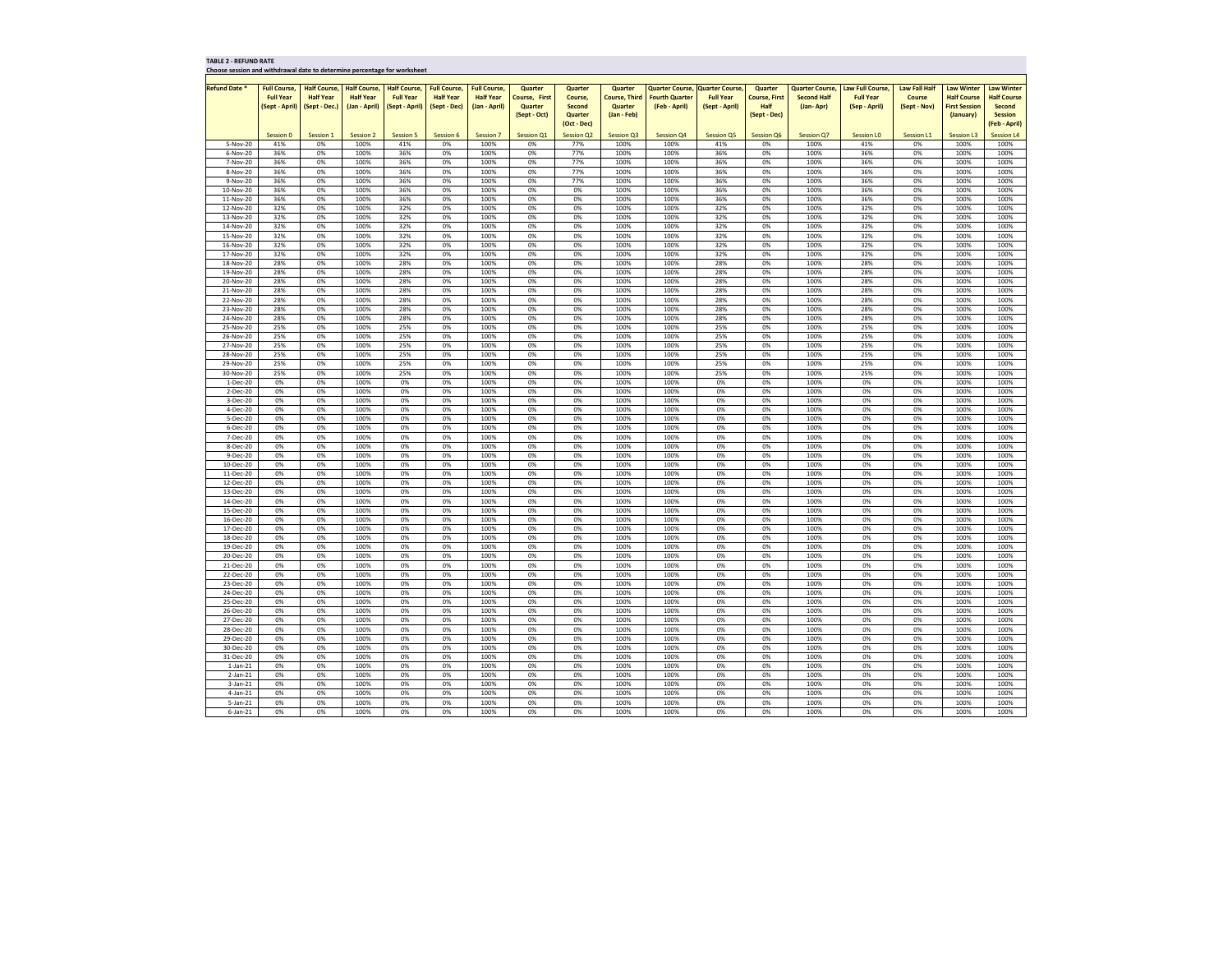| <b>TABLE 2 - REFUND RATE</b> |  |
|------------------------------|--|
|------------------------------|--|

**Choose session and withdrawal date to determine percentage for worksheet**

| Choose session and withdrawal date to determine percentage for worksheet |                                |                     |                     |                     |                     |                     |                      |                   |                      |                                        |                  |                      |                        |                         |                      |                      |                    |
|--------------------------------------------------------------------------|--------------------------------|---------------------|---------------------|---------------------|---------------------|---------------------|----------------------|-------------------|----------------------|----------------------------------------|------------------|----------------------|------------------------|-------------------------|----------------------|----------------------|--------------------|
|                                                                          |                                |                     |                     |                     |                     |                     |                      |                   |                      |                                        |                  |                      |                        |                         |                      |                      |                    |
| <b>Refund Date *</b>                                                     | <b>Full Course,</b>            | <b>Half Course,</b> | <b>Half Course,</b> | <b>Half Course,</b> | <b>Full Course,</b> | <b>Full Course,</b> | <b>Quarter</b>       | Quarter           | <b>Quarter</b>       | <b>Quarter Course, Quarter Course,</b> |                  | <b>Quarter</b>       | <b>Quarter Course,</b> | <b>Law Full Course,</b> | <b>Law Fall Half</b> | <b>Law Winter</b>    | <b>Law Winter</b>  |
|                                                                          | <b>Full Year</b>               | <b>Half Year</b>    | <b>Half Year</b>    | <b>Full Year</b>    | <b>Half Year</b>    | <b>Half Year</b>    | <b>Course, First</b> | Course,           | <b>Course, Third</b> | <b>Fourth Quarter</b>                  | <b>Full Year</b> | <b>Course, First</b> | <b>Second Half</b>     | <b>Full Year</b>        | <b>Course</b>        | <b>Half Course</b>   | <b>Half Course</b> |
|                                                                          | (Sept - April)   (Sept - Dec.) |                     | (Jan - April)       | (Sept - April)      | (Sept - Dec)        | (Jan - April)       | <b>Quarter</b>       | <b>Second</b>     | <b>Quarter</b>       | (Feb - April)                          | (Sept - April)   | <b>Half</b>          | (Jan-Apr)              | (Sep - April)           | (Sept - Nov)         | <b>First Session</b> | <b>Second</b>      |
|                                                                          |                                |                     |                     |                     |                     |                     | (Sept - Oct)         | Quarter           | $(Jan - Feb)$        |                                        |                  | (Sept - Dec)         |                        |                         |                      | (January)            | <b>Session</b>     |
|                                                                          |                                |                     |                     |                     |                     |                     |                      | (Oct - Dec)       |                      |                                        |                  |                      |                        |                         |                      |                      | (Feb - April)      |
|                                                                          | Session 0                      | Session 1           | Session 2           | <b>Session 5</b>    | Session 6           | <b>Session 7</b>    | <b>Session Q1</b>    | <b>Session Q2</b> | Session Q3           | <b>Session Q4</b>                      | Session Q5       | Session Q6           | <b>Session Q7</b>      | <b>Session LO</b>       | Session L1           | <b>Session L3</b>    | <b>Session L4</b>  |
| 5-Nov-20                                                                 | 41%                            | 0%                  | 100%                | 41%                 | 0%                  | 100%                | 0%                   | 77%               | 100%                 | 100%                                   | 41%              | 0%                   | 100%                   | 41%                     | 0%                   | 100%                 | 100%               |
|                                                                          |                                |                     |                     |                     |                     |                     |                      |                   |                      |                                        |                  |                      |                        |                         |                      | 100%                 |                    |
| 6-Nov-20                                                                 | 36%                            | 0%                  | 100%                | 36%                 | 0%                  | 100%                | 0%                   | 77%               | 100%                 | 100%                                   | 36%              | 0%                   | 100%                   | 36%                     | 0%                   |                      | 100%               |
| 7-Nov-20                                                                 | 36%                            | 0%                  | 100%                | 36%                 | 0%                  | 100%                | 0%                   | 77%               | 100%                 | 100%                                   | 36%              | 0%                   | 100%                   | 36%                     | 0%                   | 100%                 | 100%               |
| 8-Nov-20                                                                 | 36%                            | 0%                  | 100%                | 36%                 | 0%                  | 100%                | 0%                   | 77%               | 100%                 | 100%                                   | 36%              | 0%                   | 100%                   | 36%                     | 0%                   | 100%                 | 100%               |
| 9-Nov-20                                                                 | 36%                            | 0%                  | 100%                | 36%                 | 0%                  | 100%                | 0%                   | 77%               | 100%                 | 100%                                   | 36%              | 0%                   | 100%                   | 36%                     | 0%                   | 100%                 | 100%               |
| 10-Nov-20                                                                | 36%                            | 0%                  | 100%                | 36%                 | 0%                  | 100%                | 0%                   | 0%                | 100%                 | 100%                                   | 36%              | 0%                   | 100%                   | 36%                     | 0%                   | 100%                 | 100%               |
| 11-Nov-20                                                                | 36%                            | 0%                  | 100%                | 36%                 | 0%                  | 100%                | 0%                   | 0%                | 100%                 | 100%                                   | 36%              | 0%                   | 100%                   | 36%                     | 0%                   | 100%                 | 100%               |
| 12-Nov-20                                                                | 32%                            | 0%                  | 100%                | 32%                 | 0%                  | 100%                | 0%                   | 0%                | 100%                 | 100%                                   | 32%              | 0%                   | 100%                   | 32%                     | 0%                   | 100%                 | 100%               |
| 13-Nov-20                                                                | 32%                            | 0%                  | 100%                | 32%                 | 0%                  | 100%                | 0%                   | 0%                | 100%                 | 100%                                   | 32%              | 0%                   | 100%                   | 32%                     | 0%                   | 100%                 | 100%               |
| 14-Nov-20                                                                | 32%                            | 0%                  | 100%                | 32%                 | 0%                  | 100%                | 0%                   | 0%                | 100%                 | 100%                                   | 32%              | 0%                   | 100%                   | 32%                     | 0%                   | 100%                 | 100%               |
| 15-Nov-20                                                                | 32%                            | 0%                  | 100%                | 32%                 | 0%                  | 100%                | 0%                   | 0%                | 100%                 | 100%                                   | 32%              | 0%                   | 100%                   | 32%                     | 0%                   | 100%                 | 100%               |
| 16-Nov-20                                                                | 32%                            | 0%                  | 100%                | 32%                 | 0%                  | 100%                | 0%                   | 0%                | 100%                 | 100%                                   | 32%              | 0%                   | 100%                   | 32%                     | 0%                   | 100%                 | 100%               |
| 17-Nov-20                                                                | 32%                            | 0%                  | 100%                | 32%                 | 0%                  | 100%                | 0%                   | 0%                | 100%                 | 100%                                   | 32%              | 0%                   | 100%                   | 32%                     | 0%                   | 100%                 | 100%               |
| 18-Nov-20                                                                | 28%                            | 0%                  | 100%                | 28%                 | 0%                  | 100%                | 0%                   | 0%                | 100%                 | 100%                                   | 28%              | 0%                   | 100%                   | 28%                     | 0%                   | 100%                 | 100%               |
|                                                                          |                                |                     |                     |                     |                     |                     |                      |                   |                      |                                        |                  |                      |                        |                         |                      |                      |                    |
| 19-Nov-20                                                                | 28%                            | 0%                  | 100%                | 28%                 | 0%                  | 100%                | 0%                   | 0%                | 100%                 | 100%                                   | 28%              | 0%                   | 100%                   | 28%                     | 0%                   | 100%                 | 100%               |
| 20-Nov-20                                                                | 28%                            | 0%                  | 100%                | 28%                 | 0%                  | 100%                | 0%                   | 0%                | 100%                 | 100%                                   | 28%              | 0%                   | 100%                   | 28%                     | 0%                   | 100%                 | 100%               |
| 21-Nov-20                                                                | 28%                            | 0%                  | 100%                | 28%                 | 0%                  | 100%                | 0%                   | 0%                | 100%                 | 100%                                   | 28%              | 0%                   | 100%                   | 28%                     | 0%                   | 100%                 | 100%               |
| 22-Nov-20                                                                | 28%                            | 0%                  | 100%                | 28%                 | 0%                  | 100%                | 0%                   | 0%                | 100%                 | 100%                                   | 28%              | 0%                   | 100%                   | 28%                     | 0%                   | 100%                 | 100%               |
| 23-Nov-20                                                                | 28%                            | 0%                  | 100%                | 28%                 | 0%                  | 100%                | 0%                   | 0%                | 100%                 | 100%                                   | 28%              | 0%                   | 100%                   | 28%                     | 0%                   | 100%                 | 100%               |
| 24-Nov-20                                                                | 28%                            | 0%                  | 100%                | 28%                 | 0%                  | 100%                | 0%                   | 0%                | 100%                 | 100%                                   | 28%              | 0%                   | 100%                   | 28%                     | 0%                   | 100%                 | 100%               |
| 25-Nov-20                                                                | 25%                            | 0%                  | 100%                | 25%                 | 0%                  | 100%                | 0%                   | 0%                | 100%                 | 100%                                   | 25%              | 0%                   | 100%                   | 25%                     | 0%                   | 100%                 | 100%               |
| 26-Nov-20                                                                | 25%                            | 0%                  | 100%                | 25%                 | 0%                  | 100%                | 0%                   | 0%                | 100%                 | 100%                                   | 25%              | 0%                   | 100%                   | 25%                     | 0%                   | 100%                 | 100%               |
| 27-Nov-20                                                                | 25%                            | 0%                  | 100%                | 25%                 | 0%                  | 100%                | 0%                   | 0%                | 100%                 | 100%                                   | 25%              | 0%                   | 100%                   | 25%                     | 0%                   | 100%                 | 100%               |
| 28-Nov-20                                                                | 25%                            | 0%                  | 100%                | 25%                 | 0%                  | 100%                | 0%                   | 0%                | 100%                 | 100%                                   | 25%              | 0%                   | 100%                   | 25%                     | 0%                   | 100%                 | 100%               |
| 29-Nov-20                                                                | 25%                            | 0%                  | 100%                | 25%                 | 0%                  | 100%                | 0%                   | 0%                | 100%                 | 100%                                   | 25%              | 0%                   | 100%                   | 25%                     | 0%                   | 100%                 | 100%               |
| 30-Nov-20                                                                | 25%                            | 0%                  | 100%                | 25%                 | 0%                  | 100%                | 0%                   | 0%                | 100%                 | 100%                                   | 25%              | 0%                   | 100%                   | 25%                     | 0%                   | 100%                 | 100%               |
| $1-Dec-20$                                                               | 0%                             | 0%                  | 100%                | 0%                  | 0%                  | 100%                | 0%                   | 0%                | 100%                 | 100%                                   | 0%               | 0%                   | 100%                   | 0%                      | 0%                   | 100%                 | 100%               |
|                                                                          | 0%                             | 0%                  |                     |                     |                     | 100%                |                      |                   |                      |                                        |                  |                      |                        |                         |                      | 100%                 | 100%               |
| 2-Dec-20                                                                 |                                |                     | 100%                | 0%                  | 0%                  |                     | 0%                   | 0%                | 100%                 | 100%                                   | 0%               | 0%                   | 100%                   | 0%                      | 0%                   |                      |                    |
| 3-Dec-20                                                                 | 0%                             | 0%                  | 100%                | 0%                  | 0%                  | 100%                | 0%                   | 0%                | 100%                 | 100%                                   | 0%               | 0%                   | 100%                   | 0%                      | 0%                   | 100%                 | 100%               |
| 4-Dec-20                                                                 | 0%                             | 0%                  | 100%                | 0%                  | 0%                  | 100%                | 0%                   | 0%                | 100%                 | 100%                                   | 0%               | 0%                   | 100%                   | 0%                      | 0%                   | 100%                 | 100%               |
| 5-Dec-20                                                                 | 0%                             | 0%                  | 100%                | 0%                  | 0%                  | 100%                | 0%                   | 0%                | 100%                 | 100%                                   | 0%               | 0%                   | 100%                   | 0%                      | 0%                   | 100%                 | 100%               |
| 6-Dec-20                                                                 | 0%                             | 0%                  | 100%                | 0%                  | 0%                  | 100%                | 0%                   | 0%                | 100%                 | 100%                                   | 0%               | 0%                   | 100%                   | 0%                      | 0%                   | 100%                 | 100%               |
| 7-Dec-20                                                                 | 0%                             | 0%                  | 100%                | 0%                  | 0%                  | 100%                | 0%                   | 0%                | 100%                 | 100%                                   | 0%               | 0%                   | 100%                   | 0%                      | 0%                   | 100%                 | 100%               |
| 8-Dec-20                                                                 | 0%                             | 0%                  | 100%                | 0%                  | 0%                  | 100%                | 0%                   | 0%                | 100%                 | 100%                                   | 0%               | 0%                   | 100%                   | 0%                      | 0%                   | 100%                 | 100%               |
| 9-Dec-20                                                                 | 0%                             | 0%                  | 100%                | 0%                  | 0%                  | 100%                | 0%                   | 0%                | 100%                 | 100%                                   | 0%               | 0%                   | 100%                   | 0%                      | 0%                   | 100%                 | 100%               |
| 10-Dec-20                                                                | 0%                             | 0%                  | 100%                | 0%                  | 0%                  | 100%                | 0%                   | 0%                | 100%                 | 100%                                   | 0%               | 0%                   | 100%                   | 0%                      | 0%                   | 100%                 | 100%               |
| 11-Dec-20                                                                | 0%                             | 0%                  | 100%                | 0%                  | 0%                  | 100%                | 0%                   | 0%                | 100%                 | 100%                                   | 0%               | 0%                   | 100%                   | 0%                      | 0%                   | 100%                 | 100%               |
| 12-Dec-20                                                                | 0%                             | 0%                  | 100%                | 0%                  | 0%                  | 100%                | 0%                   | 0%                | 100%                 | 100%                                   | 0%               | 0%                   | 100%                   | 0%                      | 0%                   | 100%                 | 100%               |
| 13-Dec-20                                                                | 0%                             | 0%                  | 100%                | 0%                  | 0%                  | 100%                | 0%                   | 0%                | 100%                 | 100%                                   | 0%               | 0%                   | 100%                   | 0%                      | 0%                   | 100%                 | 100%               |
| 14-Dec-20                                                                | 0%                             | 0%                  | 100%                | 0%                  | 0%                  | 100%                | 0%                   | 0%                | 100%                 | 100%                                   | 0%               | 0%                   | 100%                   | 0%                      | 0%                   | 100%                 | 100%               |
| 15-Dec-20                                                                | 0%                             | 0%                  | 100%                | 0%                  | 0%                  | 100%                | 0%                   | 0%                | 100%                 | 100%                                   | 0%               | 0%                   | 100%                   | 0%                      | 0%                   | 100%                 | 100%               |
| 16-Dec-20                                                                | 0%                             | 0%                  | 100%                | 0%                  | 0%                  | 100%                | 0%                   | 0%                | 100%                 | 100%                                   | 0%               | 0%                   | 100%                   | 0%                      | 0%                   | 100%                 | 100%               |
|                                                                          |                                |                     |                     |                     |                     |                     |                      |                   |                      |                                        |                  |                      |                        |                         |                      |                      |                    |
| 17-Dec-20                                                                | 0%                             | 0%                  | 100%                | 0%                  | 0%                  | 100%                | 0%                   | 0%                | 100%                 | 100%                                   | 0%               | 0%                   | 100%                   | 0%                      | 0%                   | 100%                 | 100%               |
| 18-Dec-20                                                                | 0%                             | 0%                  | 100%                | 0%                  | 0%                  | 100%                | 0%                   | 0%                | 100%                 | 100%                                   | 0%               | 0%                   | 100%                   | 0%                      | 0%                   | 100%                 | 100%               |
| 19-Dec-20                                                                | 0%                             | 0%                  | 100%                | 0%                  | 0%                  | 100%                | 0%                   | 0%                | 100%                 | 100%                                   | 0%               | 0%                   | 100%                   | 0%                      | 0%                   | 100%                 | 100%               |
| 20-Dec-20                                                                | 0%                             | 0%                  | 100%                | 0%                  | 0%                  | 100%                | 0%                   | 0%                | 100%                 | 100%                                   | 0%               | 0%                   | 100%                   | 0%                      | 0%                   | 100%                 | 100%               |
| 21-Dec-20                                                                | 0%                             | 0%                  | 100%                | 0%                  | 0%                  | 100%                | 0%                   | 0%                | 100%                 | 100%                                   | 0%               | 0%                   | 100%                   | 0%                      | 0%                   | 100%                 | 100%               |
| 22-Dec-20                                                                | 0%                             | 0%                  | 100%                | 0%                  | 0%                  | 100%                | 0%                   | 0%                | 100%                 | 100%                                   | 0%               | 0%                   | 100%                   | 0%                      | 0%                   | 100%                 | 100%               |
| 23-Dec-20                                                                | 0%                             | 0%                  | 100%                | 0%                  | 0%                  | 100%                | 0%                   | 0%                | 100%                 | 100%                                   | 0%               | 0%                   | 100%                   | 0%                      | 0%                   | 100%                 | 100%               |
| 24-Dec-20                                                                | 0%                             | 0%                  | 100%                | 0%                  | 0%                  | 100%                | 0%                   | 0%                | 100%                 | 100%                                   | 0%               | 0%                   | 100%                   | 0%                      | 0%                   | 100%                 | 100%               |
| 25-Dec-20                                                                | 0%                             | 0%                  | 100%                | 0%                  | 0%                  | 100%                | 0%                   | 0%                | 100%                 | 100%                                   | 0%               | 0%                   | 100%                   | 0%                      | 0%                   | 100%                 | 100%               |
| 26-Dec-20                                                                | 0%                             | 0%                  | 100%                | 0%                  | 0%                  | 100%                | 0%                   | 0%                | 100%                 | 100%                                   | 0%               | 0%                   | 100%                   | 0%                      | 0%                   | 100%                 | 100%               |
| 27-Dec-20                                                                | 0%                             | 0%                  | 100%                | 0%                  | 0%                  | 100%                | 0%                   | 0%                | 100%                 | 100%                                   | 0%               | 0%                   | 100%                   | 0%                      | 0%                   | 100%                 | 100%               |
| 28-Dec-20                                                                | 0%                             | 0%                  | 100%                | 0%                  | 0%                  | 100%                | 0%                   | 0%                | 100%                 | 100%                                   | 0%               | 0%                   | 100%                   | 0%                      | 0%                   | 100%                 | 100%               |
| 29-Dec-20                                                                | 0%                             | 0%                  | 100%                | 0%                  | 0%                  | 100%                | 0%                   | 0%                | 100%                 | 100%                                   | 0%               | 0%                   | 100%                   | 0%                      | 0%                   | 100%                 | 100%               |
| 30-Dec-20                                                                | 0%                             | 0%                  | 100%                | 0%                  | 0%                  | 100%                | 0%                   | 0%                | 100%                 | 100%                                   | 0%               | 0%                   | 100%                   | 0%                      | 0%                   | 100%                 | 100%               |
| 31-Dec-20                                                                | 0%                             | 0%                  | 100%                | 0%                  | 0%                  | 100%                | 0%                   | 0%                | 100%                 | 100%                                   | 0%               | 0%                   | 100%                   | 0%                      | 0%                   | 100%                 | 100%               |
|                                                                          | 0%                             |                     | 100%                |                     |                     | 100%                |                      |                   |                      | 100%                                   |                  |                      |                        |                         |                      |                      | 100%               |
| $1$ -Jan- $21$                                                           |                                | 0%                  |                     | 0%                  | 0%                  |                     | 0%                   | 0%                | 100%                 |                                        | 0%               | 0%                   | 100%                   | 0%                      | 0%                   | 100%                 |                    |
| $2$ -Jan- $21$                                                           | 0%                             | 0%                  | 100%                | 0%                  | 0%                  | 100%                | 0%                   | 0%                | 100%                 | 100%                                   | 0%               | 0%                   | 100%                   | 0%                      | 0%                   | 100%                 | 100%               |
| $3$ -Jan-21                                                              | 0%                             | 0%                  | 100%                | 0%                  | 0%                  | 100%                | 0%                   | 0%                | 100%                 | 100%                                   | 0%               | 0%                   | 100%                   | 0%                      | 0%                   | 100%                 | 100%               |
| 4-Jan-21                                                                 | 0%                             | 0%                  | 100%                | 0%                  | 0%                  | 100%                | 0%                   | 0%                | 100%                 | 100%                                   | 0%               | 0%                   | 100%                   | 0%                      | 0%                   | 100%                 | 100%               |
| $5$ -Jan-21                                                              | 0%                             | 0%                  | 100%                | 0%                  | 0%                  | 100%                | 0%                   | 0%                | 100%                 | 100%                                   | 0%               | 0%                   | 100%                   | 0%                      | 0%                   | 100%                 | 100%               |
| 6-Jan-21                                                                 | 0%                             | 0%                  | 100%                | 0%                  | 0%                  | 100%                | 0%                   | 0%                | 100%                 | 100%                                   | 0%               | 0%                   | 100%                   | 0%                      | 0%                   | 100%                 | 100%               |